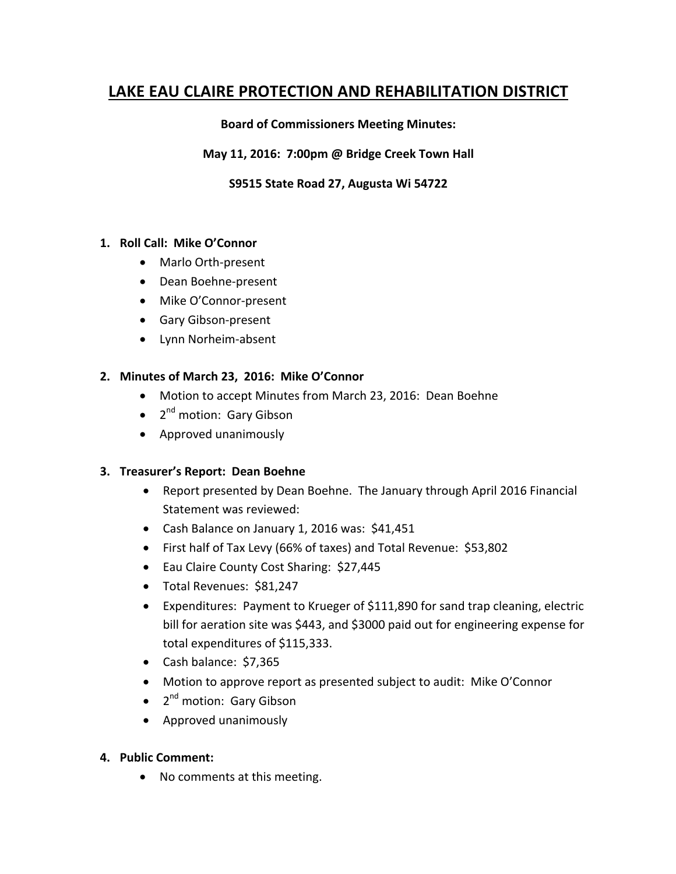# **LAKE EAU CLAIRE PROTECTION AND REHABILITATION DISTRICT**

### **Board of Commissioners Meeting Minutes:**

#### **May 11, 2016: 7:00pm @ Bridge Creek Town Hall**

### **S9515 State Road 27, Augusta Wi 54722**

#### 1. Roll Call: Mike O'Connor

- Marlo Orth-present
- Dean Boehne-present
- Mike O'Connor-present
- Gary Gibson-present
- Lynn Norheim-absent

#### 2. Minutes of March 23, 2016: Mike O'Connor

- Motion to accept Minutes from March 23, 2016: Dean Boehne
- $\bullet$  2<sup>nd</sup> motion: Gary Gibson
- Approved unanimously

#### **3. Treasurer's Report: Dean Boehne**

- Report presented by Dean Boehne. The January through April 2016 Financial Statement was reviewed:
- Cash Balance on January 1, 2016 was: \$41,451
- First half of Tax Levy (66% of taxes) and Total Revenue: \$53,802
- Eau Claire County Cost Sharing: \$27,445
- Total Revenues: \$81,247
- Expenditures: Payment to Krueger of \$111,890 for sand trap cleaning, electric bill for aeration site was \$443, and \$3000 paid out for engineering expense for total expenditures of \$115,333.
- Cash balance: \$7,365
- Motion to approve report as presented subject to audit: Mike O'Connor
- $\bullet$  2<sup>nd</sup> motion: Gary Gibson
- Approved unanimously

#### **4. Public Comment:**

• No comments at this meeting.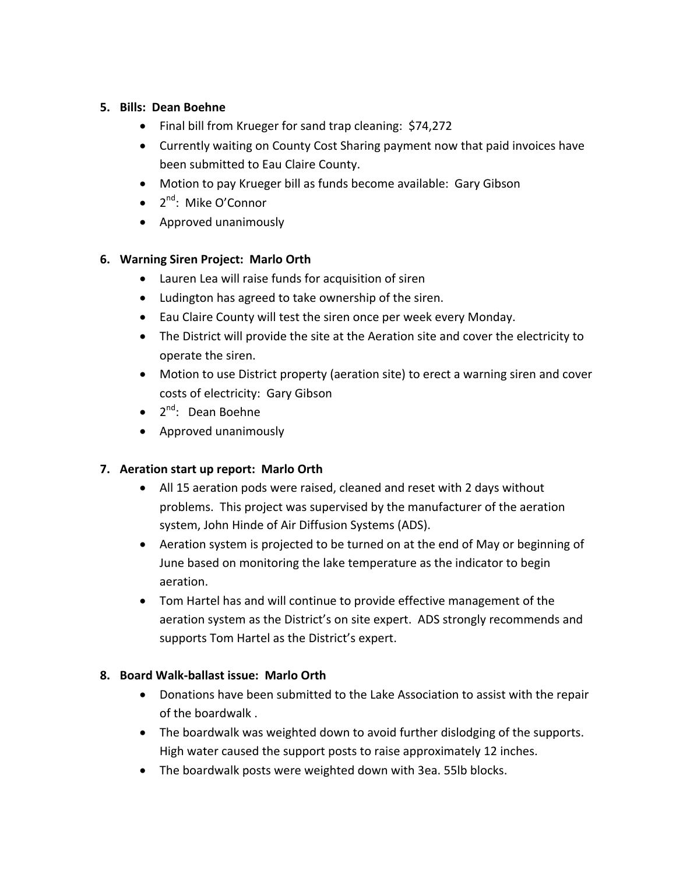### **5. Bills: Dean Boehne**

- Final bill from Krueger for sand trap cleaning: \$74,272
- Currently waiting on County Cost Sharing payment now that paid invoices have been submitted to Eau Claire County.
- Motion to pay Krueger bill as funds become available: Gary Gibson
- $\bullet$  2<sup>nd</sup>: Mike O'Connor
- Approved unanimously

# **6. Warning Siren Project: Marlo Orth**

- Lauren Lea will raise funds for acquisition of siren
- Ludington has agreed to take ownership of the siren.
- Eau Claire County will test the siren once per week every Monday.
- The District will provide the site at the Aeration site and cover the electricity to operate the siren.
- Motion to use District property (aeration site) to erect a warning siren and cover costs of electricity: Gary Gibson
- $2^{nd}$ : Dean Boehne
- Approved unanimously

# **7.** Aeration start up report: Marlo Orth

- All 15 aeration pods were raised, cleaned and reset with 2 days without problems. This project was supervised by the manufacturer of the aeration system, John Hinde of Air Diffusion Systems (ADS).
- Aeration system is projected to be turned on at the end of May or beginning of June based on monitoring the lake temperature as the indicator to begin aeration.
- Tom Hartel has and will continue to provide effective management of the aeration system as the District's on site expert. ADS strongly recommends and supports Tom Hartel as the District's expert.

# **8. Board Walk-ballast issue: Marlo Orth**

- Donations have been submitted to the Lake Association to assist with the repair of the boardwalk.
- The boardwalk was weighted down to avoid further dislodging of the supports. High water caused the support posts to raise approximately 12 inches.
- The boardwalk posts were weighted down with 3ea. 55lb blocks.